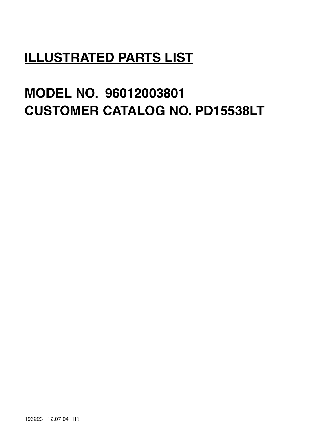# **ILLUSTRATED PARTS LIST**

# **MODEL NO. 96012003801 CUSTOMER CATALOG NO. PD15538LT**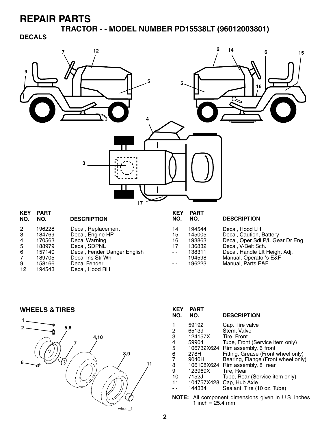**TRACTOR - - MODEL NUMBER PD15538LT (96012003801)**

**DECALS**



| NO.            | KEY PART<br>NO. | <b>DESCRIPTION</b>           | <b>KEY</b><br>NO. | PART<br>NO. | <b>DESCRIPTION</b>              |
|----------------|-----------------|------------------------------|-------------------|-------------|---------------------------------|
| $\overline{2}$ | 196228          | Decal, Replacement           | 14                | 194544      | Decal, Hood LH                  |
| -3             | 184769          | Decal, Engine HP             | 15                | 145005      | Decal, Caution, Battery         |
| 4              | 170563          | Decal Warning                | 16                | 193863      | Decal, Oper Sdl P/L Gear Dr Eng |
| 5              | 188979          | Decal, SDPNL                 | 17                | 136832      | Decal, V-Belt Sch.              |
| -6             | 157140          | Decal, Fender Danger English | $ -$              | 138311      | Decal, Handle Lft Height Adj.   |
| 7              | 189705          | Decal Ins Str Wh             | $ -$              | 194598      | Manual, Operator's E&F          |
| 9              | 158166          | Decal Fender                 | $ -$              | 196223      | Manual, Parts E&F               |
| 12             | 194543          | Decal, Hood RH               |                   |             |                                 |
|                |                 |                              |                   |             |                                 |

**WHEELS & TIRES**



| <b>KEY</b><br>NO.                                            | <b>PART</b><br>NO. | <b>DESCRIPTION</b>                 |  |  |
|--------------------------------------------------------------|--------------------|------------------------------------|--|--|
| 1                                                            | 59192              | Cap, Tire valve                    |  |  |
|                                                              | 65139              | Stem, Valve                        |  |  |
| $\frac{2}{3}$                                                | 124157X            | Tire, Front                        |  |  |
| $\overline{\mathbf{4}}$                                      | 59904              | Tube, Front (Service item only)    |  |  |
| 5                                                            |                    | 106732X624 Rim assembly, 6"front   |  |  |
| 6                                                            | 278H               | Fitting, Grease (Front wheel only) |  |  |
| $\overline{7}$                                               | 9040H              | Bearing, Flange (Front wheel only) |  |  |
| 8                                                            |                    | 106108X624 Rim assembly, 8" rear   |  |  |
| 9                                                            | 123969X            | Tire, Rear                         |  |  |
| 10                                                           | 7152J              | Tube, Rear (Service item only)     |  |  |
| 11                                                           | 104757X428         | Cap, Hub Axle                      |  |  |
|                                                              | 144334             | Sealant, Tire (10 oz. Tube)        |  |  |
| All component dimensions given in U.S. inche<br><b>NOTE:</b> |                    |                                    |  |  |

ensions given in U.S. inches  $\frac{1}{1}$  inch = 25.4 mm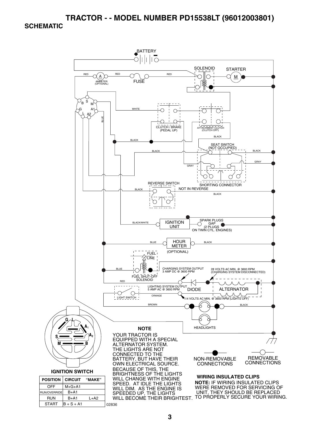### **TRACTOR - - MODEL NUMBER PD15538LT (96012003801)**

#### **SCHEMATIC**

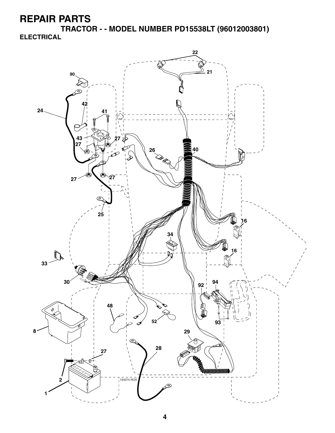**TRACTOR - - MODEL NUMBER PD15538LT (96012003801) ELECTRICAL**

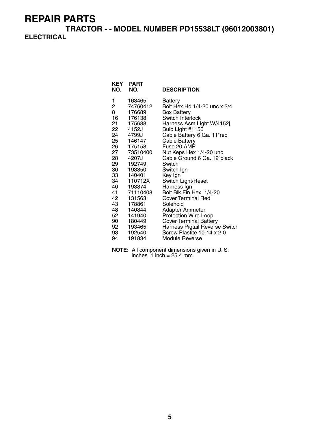**TRACTOR - - MODEL NUMBER PD15538LT (96012003801) ELECTRICAL**

| KEY<br>NO. | <b>PART</b><br>NO. | <b>DESCRIPTION</b>             |
|------------|--------------------|--------------------------------|
| 1          | 163465             | Battery                        |
| 2          | 74760412           | Bolt Hex Hd 1/4-20 unc x 3/4   |
| 8          | 176689             | Box Battery                    |
| 16         | 176138             | Switch Interlock               |
| 21         | 175688             | Harness Asm Light W/4152j      |
| 22         | 4152J              | Bulb Light #1156               |
| 24         | 4799J              | Cable Battery 6 Ga. 11"red     |
| 25         | 146147             | Cable Battery                  |
| 26         | 175158             | Fuse 20 AMP                    |
| 27         | 73510400           | Nut Keps Hex 1/4-20 unc        |
| 28         | 4207J              | Cable Ground 6 Ga. 12"black    |
| 29         | 192749             | Switch                         |
| 30         | 193350             | Switch Ign                     |
| 33         | 140401             | Key Ign                        |
| 34         | 110712X            | Switch Light/Reset             |
| 40         | 193374             | Harness Ign                    |
| 41         | 71110408           | Bolt Blk Fin Hex 1/4-20        |
| 42         | 131563             | <b>Cover Terminal Red</b>      |
| 43         | 178861             | Solenoid                       |
| 48         | 140844             | Adapter Ammeter                |
| 52         | 141940             | <b>Protection Wire Loop</b>    |
| 90         | 180449             | <b>Cover Terminal Battery</b>  |
| 92         | 193465             | Harness Pigtail Reverse Switch |
| 93         | 192540             | Screw Plastite 10-14 x 2.0     |
| 94         | 191834             | Module Reverse                 |

**NOTE:** All component dimensions given in U. S. inches  $1$  inch = 25.4 mm.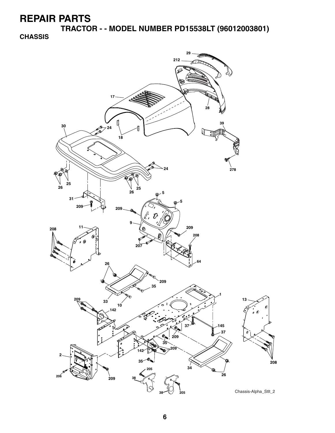**TRACTOR - - MODEL NUMBER PD15538LT (96012003801)**

**CHASSIS**

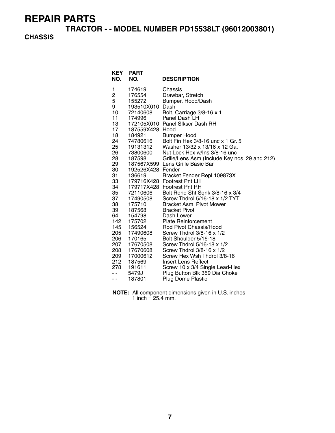**TRACTOR - - MODEL NUMBER PD15538LT (96012003801)**

### **CHASSIS**

| KEY<br>NO.                                                                                                                                                                                                                     | <b>PART</b><br>NO.                                                                                                                                                                                                                                                                                                                                  | <b>DESCRIPTION</b>                                                                                                                                                                                                                                                                                                                                                                                                                                                                                                                                                                                                                                                                                                                                                                                                                                                                                                   |
|--------------------------------------------------------------------------------------------------------------------------------------------------------------------------------------------------------------------------------|-----------------------------------------------------------------------------------------------------------------------------------------------------------------------------------------------------------------------------------------------------------------------------------------------------------------------------------------------------|----------------------------------------------------------------------------------------------------------------------------------------------------------------------------------------------------------------------------------------------------------------------------------------------------------------------------------------------------------------------------------------------------------------------------------------------------------------------------------------------------------------------------------------------------------------------------------------------------------------------------------------------------------------------------------------------------------------------------------------------------------------------------------------------------------------------------------------------------------------------------------------------------------------------|
| 1<br>$\overline{\mathbf{c}}$<br>5<br>9<br>10<br>11<br>13<br>17<br>18<br>24<br>25<br>26<br>28<br>29<br>30<br>31<br>33<br>34<br>35<br>37<br>38<br>39<br>64<br>142<br>145<br>205<br>206<br>207<br>208<br>209<br>212<br>278<br>. . | 174619<br>176554<br>155272<br>193510X010<br>72140608<br>174996<br>187559X428 Hood<br>184921<br>74780616<br>19131312<br>73800600<br>187598<br>192526X428 Fender<br>136619<br>72110606<br>17490508<br>175710<br>187568<br>154798<br>175702<br>156524<br>17490608<br>170165<br>17670508<br>17670608<br>17000612<br>187569<br>191611<br>5479J<br>187801 | Chassis<br>Drawbar, Stretch<br>Bumper, Hood/Dash<br>Dash<br>Bolt, Carriage 3/8-16 x 1<br>Panel Dash LH<br>172105X010 Panel Slkscr Dash RH<br><b>Bumper Hood</b><br>Bolt Fin Hex 3/8-16 unc x 1 Gr. 5<br>Washer 13/32 x 13/16 x 12 Ga.<br>Nut Lock Hex w/Ins 3/8-16 unc<br>Grille/Lens Asm (Include Key nos. 29 and 212)<br>187567X599 Lens Grille Basic Bar<br>Bracket Fender Repl 109873X<br>179716X428 Footrest Pnt LH<br>179717X428 Footrest Pnt RH<br>Bolt Rdhd Sht Sqnk 3/8-16 x 3/4<br>Screw Thdrol 5/16-18 x 1/2 TYT<br>Bracket Asm. Pivot Mower<br><b>Bracket Pivot</b><br>Dash Lower<br><b>Plate Reinforcement</b><br>Rod Pivot Chassis/Hood<br>Screw Thdrol 3/8-16 x 1/2<br>Bolt Shoulder 5/16-18<br>Screw Thdrol 5/16-18 x 1/2<br>Screw Thdrol 3/8-16 x 1/2<br>Screw Hex Wsh Thdrol 3/8-16<br>Insert Lens Reflect<br>Screw 10 x 3/4 Single Lead-Hex<br>Plug Button Blk 359 Dia Choke<br>Plug Dome Plastic |

**NOTE:** All component dimensions given in U.S. inches 1 inch =  $25.4$  mm.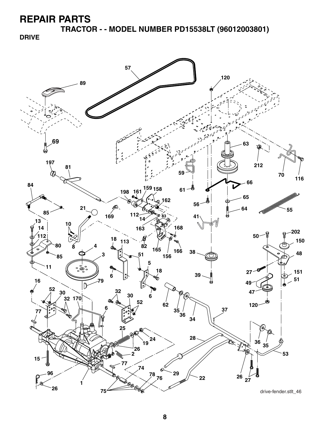**TRACTOR - - MODEL NUMBER PD15538LT (96012003801)**

**DRIVE**

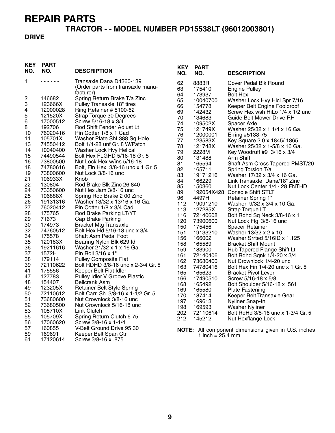# **TRACTOR - - MODEL NUMBER PD15538LT (96012003801)**

### **DRIVE**

| <b>KEY</b><br>NO. | <b>PART</b><br>NO. | <b>DESCRIPTION</b>                                            | <b>KEY</b><br>NO. | <b>PART</b><br>NO.         | <b>DESCRIPTION</b>                                  |
|-------------------|--------------------|---------------------------------------------------------------|-------------------|----------------------------|-----------------------------------------------------|
| 1                 | .                  | Transaxle Dana D4360-139                                      | 62                | 8883R                      | Cover Pedal Blk Round                               |
|                   |                    | (Order parts from transaxle manu-                             | 63                | 175410                     | <b>Engine Pulley</b>                                |
|                   |                    | facturer)                                                     | 64                | 173937                     | <b>Bolt Hex</b>                                     |
| 2                 | 146682             | Spring Return Brake T/a Zinc                                  | 65                | 10040700                   | Washer Lock Hvy Hlcl Spr 7/16                       |
| 3                 | 123666X            | Pulley Transaxle 18" tires                                    | 66                | 154778                     | Keeper Belt Engine Foolproof                        |
| 4                 | 12000028           | Ring Retainer # 5100-62                                       | 69                | 142432                     | Screw Hex wsh HiLo 1/4 x 1/2 unc                    |
| 5                 | 121520X            | Strap Torque 30 Degrees                                       | 70                | 134683                     | Guide Belt Mower Drive RH                           |
| 6                 | 17000512           | Screw 5/16-18 x 3/4                                           | 74                | 109502X                    | Spacer Axle                                         |
| 8                 | 192706             | Rod Shift Fender Adjust Lt                                    | 75                | 121749X                    | Washer 25/32 x 1 1/4 x 16 Ga.                       |
| 10                | 76020416           | Pin Cotter 1/8 x 1 Cad                                        | 76                | 12000001                   | E-ring #5133-75                                     |
| 11                | 105701X            | Washer Plate Shf 388 Sq Hole                                  | 77                | 123583X                    | Key Square 2 0 x 1845/1865                          |
| 13                | 74550412           | Bolt 1/4-28 unf Gr. 8 W/Patch                                 | 78                | 121748X                    | Washer 25/32 x 1-5/8 x 16 Ga.                       |
| 14                | 10040400           | Washer Lock Hvy Helical                                       | 79                | 2228M                      | Key Woodruff #9 3/16 x 3/4                          |
| 15                | 74490544           | Bolt Hex FLGHD 5/16-18 Gr. 5                                  | 80                | 131488                     | Arm Shift                                           |
| 16                | 73800500           | Nut Lock Hex w/ins 5/16-18                                    | 81                | 165594                     | Shaft Asm Cross Tapered PMST/20                     |
| 18                | 74780616           | Bolt, Fin Hex 3/8-16 unc x 1 Gr. 5                            | 82                | 165711                     | Spring Torsion T/a                                  |
| 19                | 73800600           | Nut Lock 3/8-16 unc                                           | 83                | 19171216                   | Washer 17/32 x 3/4 x 16 Ga.                         |
| 21                | 106933X            | Knob                                                          | 84                | 166229                     | Link Transaxle Dana/18" Zinc                        |
| 22                | 130804             | Rod Brake Blk Zinc 26 840                                     | 85                | 150360                     | Nut Lock Center 1/4 - 28 FNTHD                      |
| 24                | 73350600           | Nut Hex Jam 3/8-16 unc                                        | 89                |                            | 192054X428 Console Shift STLT                       |
| 25                | 106888X            | Spring Rod Brake 2 00 Zinc                                    | 96                | 4497H                      | Retainer Spring 1"                                  |
| 26                | 19131316           | Washer 13/32 x 13/16 x 16 Ga.                                 | 112               | 19091210                   | Washer 9/32 x 3/4 x 10 Ga.                          |
| 27                | 76020412           | Pin Cotter 1/8 x 3/4 Cad                                      | 113               | 127285X                    | Strap Torque LT                                     |
| 28<br>29          | 175765<br>71673    | Rod Brake Parking LT/YT                                       | 116               | 72140608                   | Bolt Rdhd Sq Neck 3/8-16 x 1                        |
| 30                |                    | Cap Brake Parking                                             | 120               | 73900600                   | Nut Lock Flg. 3/8-16 unc                            |
| 32                | 174973<br>74760512 | <b>Bracket Mtg Transaxle</b><br>Bolt Hex Hd 5/16-18 unc x 3/4 | 150               | 175456                     | <b>Spacer Retainer</b>                              |
| 34                | 175578             | <b>Shaft Asm Pedal Foot</b>                                   | 151               | 19133210                   | Washer 13/32 x 2 x 10                               |
| 35                | 120183X            |                                                               | 156               | 166002                     | Washer Srrted 5/16ID x 1.125                        |
| 36                | 19211616           | Bearing Nylon Blk 629 Id<br>Washer 21/32 x 1 x 16 Ga.         | 158               | 165589                     | <b>Bracket Shift Mount</b>                          |
| 37                | 1572H              | Pin Roll 3/16 x 1"                                            | 159               | 183900                     | Hub Tapered Flange Shift Lt                         |
| 38                | 179114             | <b>Pulley Composite Flat</b>                                  | 161               | 72140406                   | Bolt Rdhd Sqnk 1/4-20 x 3/4                         |
| 39                | 72110622           | Bolt RDHD 3/8-16 unc x 2-3/4 Gr. 5                            | 162               | 73680400                   | Nut Crownlock 1/4-20 unc                            |
| 41                | 175556             | Keeper Belt Flat Idler                                        | 163               | 74780416                   | Bolt Hex Fin 1/4-20 unc x 1 Gr. 5                   |
| 47                | 127783             | Pulley Idler V Groove Plastic                                 | 165               | 165623                     | <b>Bracket Pivot Lever</b>                          |
| 48                | 154407             | <b>Bellcrank Asm</b>                                          | 166               | 17490510                   | Screw 5/16-18 x 5/8                                 |
| 49                | 123205X            | Retainer Belt Style Spring                                    | 168               | 165492                     | Bolt Shoulder 5/16-18 x .561                        |
| 50                | 72110612           | Bolt Carr. Sh. 3/8-16 x 1-1/2 Gr. 5                           | 169               | 165580                     | <b>Plate Fastening</b>                              |
| 51                | 73680600           | Nut Crownlock 3/8-16 unc                                      | 170               | 187414                     | Keeper Belt Transaxle Gear                          |
| 52                | 73680500           | Nut Crownlock 5/16-18 unc                                     | 197               | 169613                     | Nyliner Snap-In                                     |
| 53                | 105710X            | Link Clutch                                                   | 198<br>202        | 169593<br>72110614         | <b>Washer Nyliner</b>                               |
| 55                | 105709X            | Spring Return Clutch 675                                      |                   |                            | Bolt RdHd 3/8-16 unc x 1-3/4 Gr. 5                  |
| 56                | 17060620           | Screw 3/8-16 x 1-1/4                                          | 212               | 145212                     | Nut Hexflange Lock                                  |
| 57                | 160855             | V-Belt Ground Drive 95 30                                     |                   |                            | NOTE: All component dimensions given in U.S. inches |
| 59                | 169691             | Keeper Belt Span Ctr                                          |                   | 1 inch = $25.4 \text{ mm}$ |                                                     |
| 61                | 17120614           | Screw 3/8-16 x .875                                           |                   |                            |                                                     |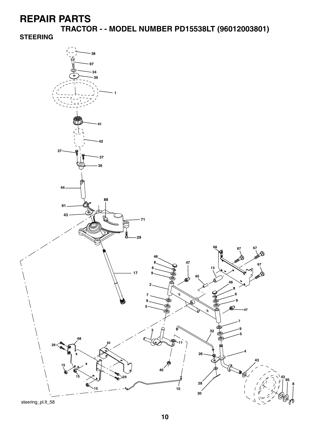**TRACTOR - - MODEL NUMBER PD15538LT (96012003801)**

**STEERING**

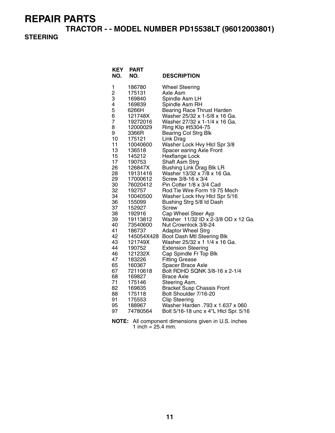**TRACTOR - - MODEL NUMBER PD15538LT (96012003801)**

### **STEERING**

| <b>KEY</b><br>NO. | PART<br>NO.          | <b>DESCRIPTION</b>                                             |
|-------------------|----------------------|----------------------------------------------------------------|
| 1                 | 186780               | <b>Wheel Steering</b>                                          |
| 2                 | 175131               | Axle Asm                                                       |
| 3                 | 169840               | Spindle Asm LH                                                 |
| 4                 | 169839               | Spindle Asm RH                                                 |
| 5                 | 6266H                | <b>Bearing Race Thrust Harden</b>                              |
| 6<br>7            | 121748X              | Washer 25/32 x 1-5/8 x 16 Ga.<br>Washer 27/32 x 1-1/4 x 16 Ga. |
| 8                 | 19272016<br>12000029 | Ring Klip #t5304-75                                            |
| 9                 | 3366R                | <b>Bearing Col Strg Blk</b>                                    |
| 10                | 175121               | Link Drag                                                      |
| 11                | 10040600             | Washer Lock Hvy Hicl Spr 3/8                                   |
| 13                | 136518               | Spacer earing Axle Front                                       |
| 15                | 145212               | <b>Hexflange Lock</b>                                          |
| 17                | 190753               | Shaft Asm Strg                                                 |
| 26                | 126847X              | <b>Bushing Link Drag Blk LR</b>                                |
| 28                | 19131416             | Washer 13/32 x 7/8 x 16 Ga.                                    |
| 29                | 17000612             | Screw 3/8-16 x 3/4                                             |
| 30                | 76020412             | Pin Cotter 1/8 x 3/4 Cad                                       |
| 32<br>34          | 192757               | Rod Tie Wire Form 19 75 Mech                                   |
| 36                | 10040500<br>155099   | Washer Lock Hvy Hicl Spr 5/16<br>Bushing Strg 5/8 Id Dash      |
| 37                | 152927               | Screw                                                          |
| 38                | 192916               | Cap Wheel Steer Ayp                                            |
| 39                | 19113812             | Washer 11/32 ID x 2-3/8 OD x 12 Ga.                            |
| 40                | 73540600             | Nut Crownlock 3/8-24                                           |
| 41                | 186737               | <b>Adaptor Wheel Strg</b>                                      |
| 42                | 145054X428           | Boot Dash Mtl Steering Blk                                     |
| 43                | 121749X              | Washer 25/32 x 1 1/4 x 16 Ga.                                  |
| 44                | 190752               | <b>Extension Steering</b>                                      |
| 46                | 121232X              | Cap Spindle Fr Top Blk                                         |
| 47                | 183226               | <b>Fitting Grease</b>                                          |
| 65<br>67          | 160367               | Spacer Brace Axle<br>Bolt RDHD SQNK 3/8-16 x 2-1/4             |
| 68                | 72110618<br>169827   | Brace Axle                                                     |
| 71                | 175146               | Steering Asm.                                                  |
| 82                | 169835               | <b>Bracket Susp Chassis Front</b>                              |
| 88                | 175118               | Bolt Shoulder 7/16-20                                          |
| 91                | 175553               | <b>Clip Steering</b>                                           |
| 95                | 188967               | Washer Harden .793 x 1.637 x 060                               |
| 97                | 74780564             | Bolt 5/16-18 unc x 4"L Hicl Spr. 5/16                          |

**NOTE:** All component dimensions given in U.S. inches 1 inch =  $25.4$  mm.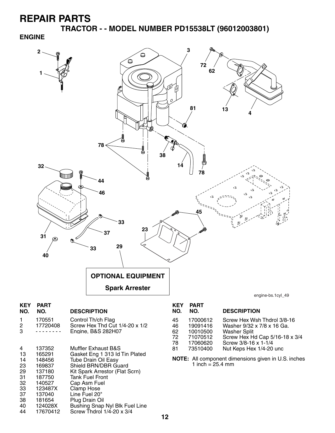**TRACTOR - - MODEL NUMBER PD15538LT (96012003801)**

#### **ENGINE**



- 33 123487X Clamp Hose 37 137040 Line Fuel 20" 38 181654 Plug Drain Oil
- 40 124028X Bushing Snap Nyl Blk Fuel Line<br>44 17670412 Screw Thdrol 1/4-20 x 3/4 Screw Thdrol  $1/\overline{4}$ -20 x 3/4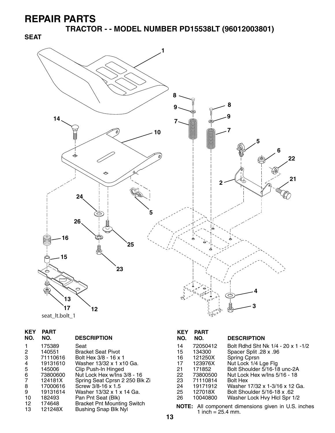**SEAT**

**TRACTOR - - MODEL NUMBER PD15538LT (96012003801)**



| seat It.bolt 1 |  |
|----------------|--|
|----------------|--|

| KEY<br>NO.     | <b>PART</b><br>NO. | <b>DESCRIPTION</b>                 |
|----------------|--------------------|------------------------------------|
|                | 175389             | Seat                               |
| 2              | 140551             | Bracket Seat Pivot                 |
| 3              | 71110616           | Bolt Hex 3/8 - 16 x 1              |
| 4              | 19131610           | Washer 13/32 x 1 x10 Ga.           |
| 5              | 145006             | Clip Push-In Hinged                |
| 6              | 73800600           | Nut Lock Hex w/Ins 3/8 - 16        |
| $\overline{7}$ | 124181X            | Spring Seat Cprsn 2 250 Blk Zi     |
| 8              | 17000616           | Screw 3/8-16 x 1.5                 |
| 9              | 19131614           | Washer 13/32 x 1 x 14 Ga.          |
| 10             | 182493             | Pan Pnt Seat (Blk)                 |
| 12             | 174648             | <b>Bracket Pnt Mounting Switch</b> |
| 13             | 121248X            | <b>Bushing Snap Blk Nyl</b>        |

### **KEY PART DESCRIPTION** 14 72050412 Bolt Rdhd Sht Nk 1/4 - 20 x 1 -1/2 15 134300 Spacer Split .28 x .96<br>16 121250X Spring Cprsn

| 16  | 121250X  | Spring Cprsn                   |
|-----|----------|--------------------------------|
| 17  | 123976X  | Nut Lock 1/4 Lge Flg           |
| 21  | 171852   | Bolt Shoulder 5/16-18 unc-2A   |
| 22. | 73800500 | Nut Lock Hex w/Ins 5/16 - 18   |
| 23  | 71110814 | <b>Bolt Hex</b>                |
| 24  | 19171912 | Washer 17/32 x 1-3/16 x 12 Ga. |
| 25  | 127018X  | Bolt Shoulder 5/16-18 x .62    |
| 26  | 10040800 | Washer Lock Hvy Hicl Spr 1/2   |
|     |          |                                |

**NOTE:** All component dimensions given in U.S. inches 1 inch =  $25.4$  mm.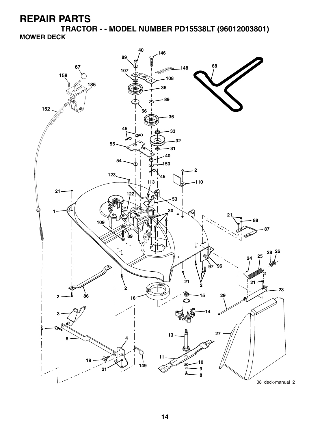**TRACTOR - - MODEL NUMBER PD15538LT (96012003801) MOWER DECK**

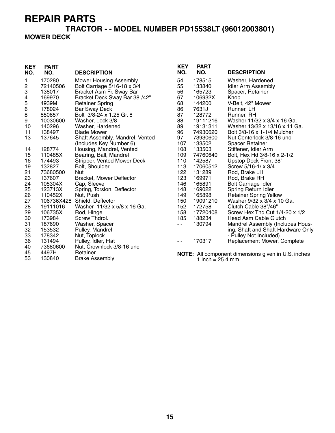# **TRACTOR - - MODEL NUMBER PD15538LT (96012003801)**

### **MOWER DECK**

| <b>KEY</b><br>NO. | <b>PART</b><br>NO. | <b>DESCRIPTION</b>              | <b>KEY</b><br>NO. | <b>PART</b><br>NO. | <b>DESCRIPTION</b>                                         |
|-------------------|--------------------|---------------------------------|-------------------|--------------------|------------------------------------------------------------|
| 1                 | 170280             | <b>Mower Housing Assembly</b>   | 54                | 178515             | Washer, Hardened                                           |
| 2                 | 72140506           | Bolt Carriage 5/16-18 x 3/4     | 55                | 133840             | <b>Idler Arm Assembly</b>                                  |
| 3                 | 138017             | Bracket Asm Fr. Sway Bar        | 56                | 165723             | Spacer, Retainer                                           |
| 4                 | 169970             | Bracket Deck Sway Bar 38"/42"   | 67                | 106932X            | Knob                                                       |
| 5                 | 4939M              | <b>Retainer Spring</b>          | 68                | 144200             | V-Belt, 42" Mower                                          |
| 6                 | 178024             | <b>Bar Sway Deck</b>            | 86                | 7631J              | Runner, LH                                                 |
| 8                 | 850857             | Bolt 3/8-24 x 1.25 Gr. 8        | 87                | 128772             | Runner, RH                                                 |
| 9                 | 10030600           | Washer, Lock 3/8                | 88                | 19111216           | Washer 11/32 x 3/4 x 16 Ga.                                |
| 10                | 140296             | Washer, Hardened                | 89                | 19131311           | Washer 13/32 x 13/16 x 11 Ga.                              |
| 11                | 138497             | <b>Blade Mower</b>              | 96                | 74930620           | Bolt 3/8-16 x 1-1/4 Mulcher                                |
| 13                | 137645             | Shaft Assembly, Mandrel, Vented | 97                | 73930600           | Nut Centerlock 3/8-16 unc                                  |
|                   |                    | (Includes Key Number 6)         | 107               | 133502             | <b>Spacer Retainer</b>                                     |
| 14                | 128774             | Housing, Mandrel, Vented        | 108               | 133503             | Stiffener, Idler Arm                                       |
| 15                | 110485X            | Bearing, Ball, Mandrel          | 109               | 74760640           | Bolt, Hex Hd 3/8-16 x 2-1/2                                |
| 16                | 174493             | Stripper, Vented Mower Deck     | 110               | 142587             | Upstop Deck Front 38"                                      |
| 19                | 132827             | Bolt, Shoulder                  | 113               | 17060512           | Screw 5/16-1/ x 3/4                                        |
| 21                | 73680500           | Nut                             | 122               | 131289             | Rod, Brake LH                                              |
| 23                | 137607             | <b>Bracket, Mower Deflector</b> | 123               | 169971             | Rod, Brake RH                                              |
| 24                | 105304X            | Cap, Sleeve                     | 146               | 165891             | <b>Bolt Carriage Idler</b>                                 |
| 25                | 123713X            | Spring, Torsion, Deflector      | 148               | 169022             | Spring Return Idler                                        |
| 26                | 110452X            | Nut, Push                       | 149               | 165898             | <b>Retainer Spring Yellow</b>                              |
| 27                | 106736X428         | Shield, Deflector               | 150               | 19091210           | Washer 9/32 x 3/4 x 10 Ga.                                 |
| 28                | 19111016           | Washer 11/32 x 5/8 x 16 Ga.     | 152               | 172758             | Clutch Cable 38"/46"                                       |
| 29                | 106735X            | Rod, Hinge                      | 158               | 17720408           | Screw Hex Thd Cut 1/4-20 x 1/2                             |
| 30                | 173984             | Screw Thdrol.                   | 185               | 188234             | Head Asm Cable Clutch                                      |
| 31                | 187690             | Washer, Spacer                  | $\sim$ $\sim$     | 130794             | Mandrel Assembly (Includes Hous-                           |
| 32                | 153532             | Pulley, Mandrel                 |                   |                    | ing, Shaft and Shaft Hardware Only                         |
| 33                | 178342             | Nut, Toplock                    |                   |                    | - Pulley Not Included)                                     |
| 36                | 131494             | Pulley, Idler, Flat             | $ -$              | 170317             | Replacement Mower, Complete                                |
| 40                | 73680600           | Nut, Crownlock 3/8-16 unc       |                   |                    |                                                            |
| 45                | 4497H              | Retainer                        |                   |                    | <b>NOTE:</b> All component dimensions given in U.S. inches |
| 53                | 130840             | <b>Brake Assembly</b>           |                   | 1 inch $= 25.4$ mm |                                                            |